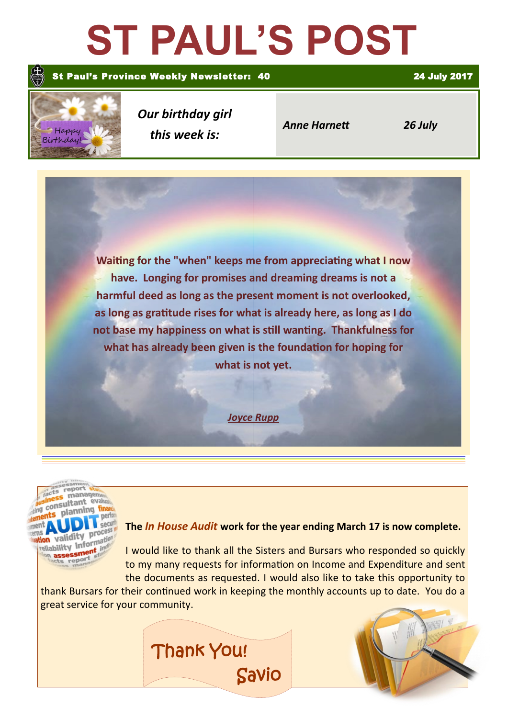# **ST PAUL'S POST**

#### St Paul's Province Weekly Newsletter: 40 24 July 2017



*Our birthday girl this week is:*

*Anne Harnett 26 July*

**Waiting for the "when" keeps me from appreciating what I now have. Longing for promises and dreaming dreams is not a harmful deed as long as the present moment is not overlooked, as long as gratitude rises for what is already here, as long as I do not base my happiness on what is still wanting. Thankfulness for what has already been given is the foundation for hoping for what is not yet.**

*Joyce Rupp*



### **The** *In House Audit* **work for the year ending March 17 is now complete.**

I would like to thank all the Sisters and Bursars who responded so quickly to my many requests for information on Income and Expenditure and sent the documents as requested. I would also like to take this opportunity to

thank Bursars for their continued work in keeping the monthly accounts up to date. You do a great service for your community.

Savio

Thank You!